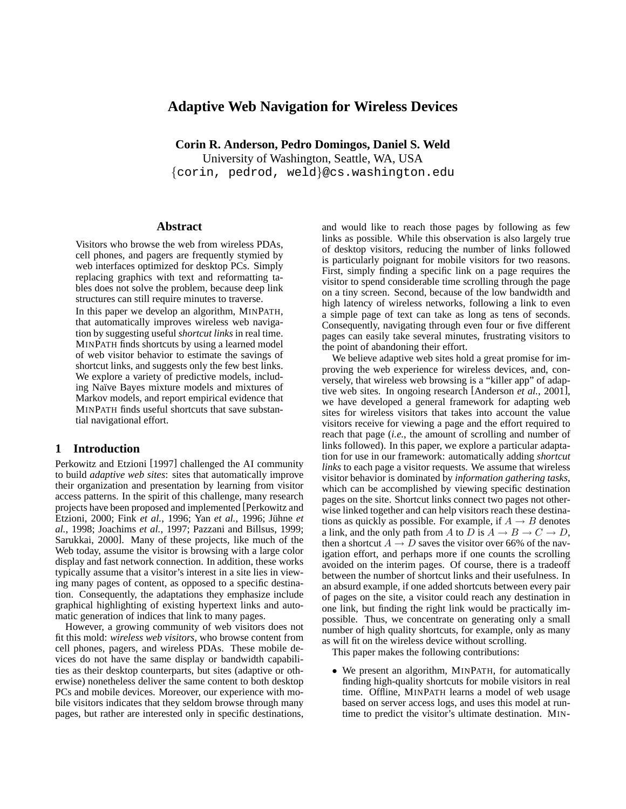# **Adaptive Web Navigation for Wireless Devices**

**Corin R. Anderson, Pedro Domingos, Daniel S. Weld**

University of Washington, Seattle, WA, USA {corin, pedrod, weld}@cs.washington.edu

## **Abstract**

Visitors who browse the web from wireless PDAs, cell phones, and pagers are frequently stymied by web interfaces optimized for desktop PCs. Simply replacing graphics with text and reformatting tables does not solve the problem, because deep link structures can still require minutes to traverse.

In this paper we develop an algorithm, MINPATH, that automatically improves wireless web navigation by suggesting useful *shortcut links* in real time. MINPATH finds shortcuts by using a learned model of web visitor behavior to estimate the savings of shortcut links, and suggests only the few best links. We explore a variety of predictive models, including Naïve Bayes mixture models and mixtures of Markov models, and report empirical evidence that MINPATH finds useful shortcuts that save substantial navigational effort.

# **1 Introduction**

Perkowitz and Etzioni [1997] challenged the AI community to build *adaptive web sites*: sites that automatically improve their organization and presentation by learning from visitor access patterns. In the spirit of this challenge, many research projects have been proposed and implemented [Perkowitz and Etzioni, 2000; Fink et al., 1996; Yan et al., 1996; Jühne et *al.*, 1998; Joachims *et al.*, 1997; Pazzani and Billsus, 1999; Sarukkai, 2000]. Many of these projects, like much of the Web today, assume the visitor is browsing with a large color display and fast network connection. In addition, these works typically assume that a visitor's interest in a site lies in viewing many pages of content, as opposed to a specific destination. Consequently, the adaptations they emphasize include graphical highlighting of existing hypertext links and automatic generation of indices that link to many pages.

However, a growing community of web visitors does not fit this mold: *wireless web visitors*, who browse content from cell phones, pagers, and wireless PDAs. These mobile devices do not have the same display or bandwidth capabilities as their desktop counterparts, but sites (adaptive or otherwise) nonetheless deliver the same content to both desktop PCs and mobile devices. Moreover, our experience with mobile visitors indicates that they seldom browse through many pages, but rather are interested only in specific destinations, and would like to reach those pages by following as few links as possible. While this observation is also largely true of desktop visitors, reducing the number of links followed is particularly poignant for mobile visitors for two reasons. First, simply finding a specific link on a page requires the visitor to spend considerable time scrolling through the page on a tiny screen. Second, because of the low bandwidth and high latency of wireless networks, following a link to even a simple page of text can take as long as tens of seconds. Consequently, navigating through even four or five different pages can easily take several minutes, frustrating visitors to the point of abandoning their effort.

We believe adaptive web sites hold a great promise for improving the web experience for wireless devices, and, conversely, that wireless web browsing is a "killer app" of adaptive web sites. In ongoing research [Anderson *et al.*, 2001], we have developed a general framework for adapting web sites for wireless visitors that takes into account the value visitors receive for viewing a page and the effort required to reach that page (*i.e.*, the amount of scrolling and number of links followed). In this paper, we explore a particular adaptation for use in our framework: automatically adding *shortcut links* to each page a visitor requests. We assume that wireless visitor behavior is dominated by *information gathering tasks*, which can be accomplished by viewing specific destination pages on the site. Shortcut links connect two pages not otherwise linked together and can help visitors reach these destinations as quickly as possible. For example, if  $A \rightarrow B$  denotes a link, and the only path from A to D is  $A \to B \to C \to D$ , then a shortcut  $A \rightarrow D$  saves the visitor over 66% of the navigation effort, and perhaps more if one counts the scrolling avoided on the interim pages. Of course, there is a tradeoff between the number of shortcut links and their usefulness. In an absurd example, if one added shortcuts between every pair of pages on the site, a visitor could reach any destination in one link, but finding the right link would be practically impossible. Thus, we concentrate on generating only a small number of high quality shortcuts, for example, only as many as will fit on the wireless device without scrolling.

This paper makes the following contributions:

• We present an algorithm, MINPATH, for automatically finding high-quality shortcuts for mobile visitors in real time. Offline, MINPATH learns a model of web usage based on server access logs, and uses this model at runtime to predict the visitor's ultimate destination. MIN-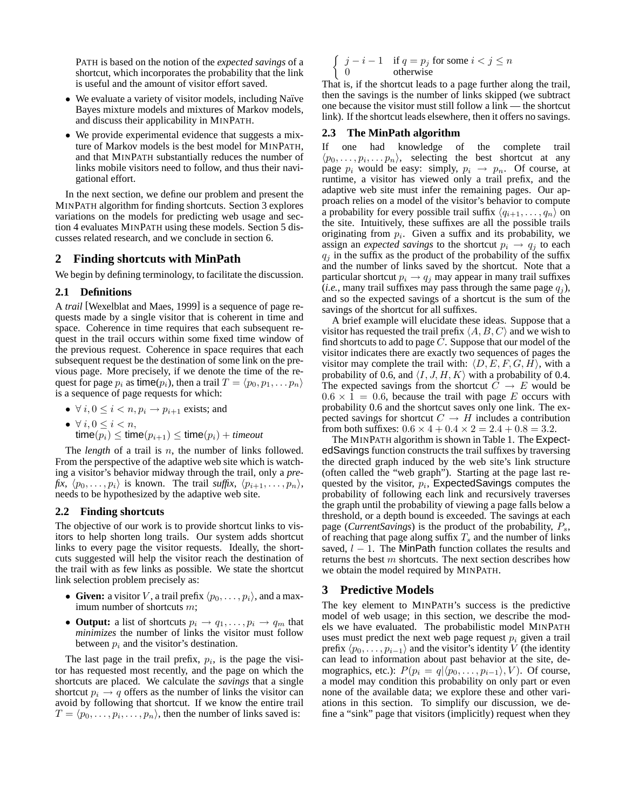PATH is based on the notion of the *expected savings* of a shortcut, which incorporates the probability that the link is useful and the amount of visitor effort saved.

- We evaluate a variety of visitor models, including Naïve Bayes mixture models and mixtures of Markov models, and discuss their applicability in MINPATH.
- We provide experimental evidence that suggests a mixture of Markov models is the best model for MINPATH, and that MINPATH substantially reduces the number of links mobile visitors need to follow, and thus their navigational effort.

In the next section, we define our problem and present the MINPATH algorithm for finding shortcuts. Section 3 explores variations on the models for predicting web usage and section 4 evaluates MINPATH using these models. Section 5 discusses related research, and we conclude in section 6.

# **2 Finding shortcuts with MinPath**

We begin by defining terminology, to facilitate the discussion.

## **2.1 Definitions**

A *trail* [Wexelblat and Maes, 1999] is a sequence of page requests made by a single visitor that is coherent in time and space. Coherence in time requires that each subsequent request in the trail occurs within some fixed time window of the previous request. Coherence in space requires that each subsequent request be the destination of some link on the previous page. More precisely, if we denote the time of the request for page  $p_i$  as time( $p_i$ ), then a trail  $T = \langle p_0, p_1, \ldots, p_n \rangle$ is a sequence of page requests for which:

•  $\forall i, 0 \leq i < n, p_i \rightarrow p_{i+1}$  exists; and

\n- $$
\forall i, 0 \leq i < n
$$
,  $\text{time}(p_i) \leq \text{time}(p_{i+1}) \leq \text{time}(p_i) + \text{timeout}$
\n

The *length* of a trail is *n*, the number of links followed. From the perspective of the adaptive web site which is watching a visitor's behavior midway through the trail, only a *pre* $fix, \langle p_0, \ldots, p_i \rangle$  is known. The trail *suffix*,  $\langle p_{i+1}, \ldots, p_n \rangle$ , needs to be hypothesized by the adaptive web site.

## **2.2 Finding shortcuts**

The objective of our work is to provide shortcut links to visitors to help shorten long trails. Our system adds shortcut links to every page the visitor requests. Ideally, the shortcuts suggested will help the visitor reach the destination of the trail with as few links as possible. We state the shortcut link selection problem precisely as:

- **Given:** a visitor V, a trail prefix  $\langle p_0, \ldots, p_i \rangle$ , and a maximum number of shortcuts m;
- **Output:** a list of shortcuts  $p_i \rightarrow q_1, \ldots, p_i \rightarrow q_m$  that *minimizes* the number of links the visitor must follow between  $p_i$  and the visitor's destination.

The last page in the trail prefix,  $p_i$ , is the page the visitor has requested most recently, and the page on which the shortcuts are placed. We calculate the *savings* that a single shortcut  $p_i \rightarrow q$  offers as the number of links the visitor can avoid by following that shortcut. If we know the entire trail  $T = \langle p_0, \ldots, p_i, \ldots, p_n \rangle$ , then the number of links saved is:

$$
\begin{cases} j - i - 1 & \text{if } q = p_j \text{ for some } i < j \le n \\ 0 & \text{otherwise} \end{cases}
$$

That is, if the shortcut leads to a page further along the trail, then the savings is the number of links skipped (we subtract one because the visitor must still follow a link — the shortcut link). If the shortcut leads elsewhere, then it offers no savings.

### **2.3 The MinPath algorithm**

If one had knowledge of the complete trail  $\langle p_0, \ldots, p_i, \ldots, p_n \rangle$ , selecting the best shortcut at any page  $p_i$  would be easy: simply,  $p_i \rightarrow p_n$ . Of course, at runtime, a visitor has viewed only a trail prefix, and the adaptive web site must infer the remaining pages. Our approach relies on a model of the visitor's behavior to compute a probability for every possible trail suffix  $\langle q_{i+1}, \ldots, q_n \rangle$  on the site. Intuitively, these suffixes are all the possible trails originating from  $p_i$ . Given a suffix and its probability, we assign an *expected savings* to the shortcut  $p_i \rightarrow q_i$  to each  $q_i$  in the suffix as the product of the probability of the suffix and the number of links saved by the shortcut. Note that a particular shortcut  $p_i \rightarrow q_j$  may appear in many trail suffixes (*i.e.*, many trail suffixes may pass through the same page  $q_i$ ), and so the expected savings of a shortcut is the sum of the savings of the shortcut for all suffixes.

A brief example will elucidate these ideas. Suppose that a visitor has requested the trail prefix  $\langle A, B, C \rangle$  and we wish to find shortcuts to add to page  $C$ . Suppose that our model of the visitor indicates there are exactly two sequences of pages the visitor may complete the trail with:  $\langle D, E, F, G, H \rangle$ , with a probability of 0.6, and  $\langle I, J, H, K \rangle$  with a probability of 0.4. The expected savings from the shortcut  $C \rightarrow E$  would be  $0.6 \times 1 = 0.6$ , because the trail with page E occurs with probability 0.6 and the shortcut saves only one link. The expected savings for shortcut  $C \rightarrow H$  includes a contribution from both suffixes:  $0.6 \times 4 + 0.4 \times 2 = 2.4 + 0.8 = 3.2$ .

The MINPATH algorithm is shown in Table 1. The ExpectedSavings function constructs the trail suffixes by traversing the directed graph induced by the web site's link structure (often called the "web graph"). Starting at the page last requested by the visitor,  $p_i$ , ExpectedSavings computes the probability of following each link and recursively traverses the graph until the probability of viewing a page falls below a threshold, or a depth bound is exceeded. The savings at each page (*CurrentSavings*) is the product of the probability,  $P_s$ , of reaching that page along suffix  $T_s$  and the number of links saved,  $l - 1$ . The MinPath function collates the results and returns the best  $m$  shortcuts. The next section describes how we obtain the model required by MINPATH.

# **3 Predictive Models**

The key element to MINPATH's success is the predictive model of web usage; in this section, we describe the models we have evaluated. The probabilistic model MINPATH uses must predict the next web page request  $p_i$  given a trail prefix  $\langle p_0, \ldots, p_{i-1} \rangle$  and the visitor's identity V (the identity can lead to information about past behavior at the site, demographics, etc.):  $P(p_i = q | \langle p_0, \ldots, p_{i-1} \rangle, V)$ . Of course, a model may condition this probability on only part or even none of the available data; we explore these and other variations in this section. To simplify our discussion, we define a "sink" page that visitors (implicitly) request when they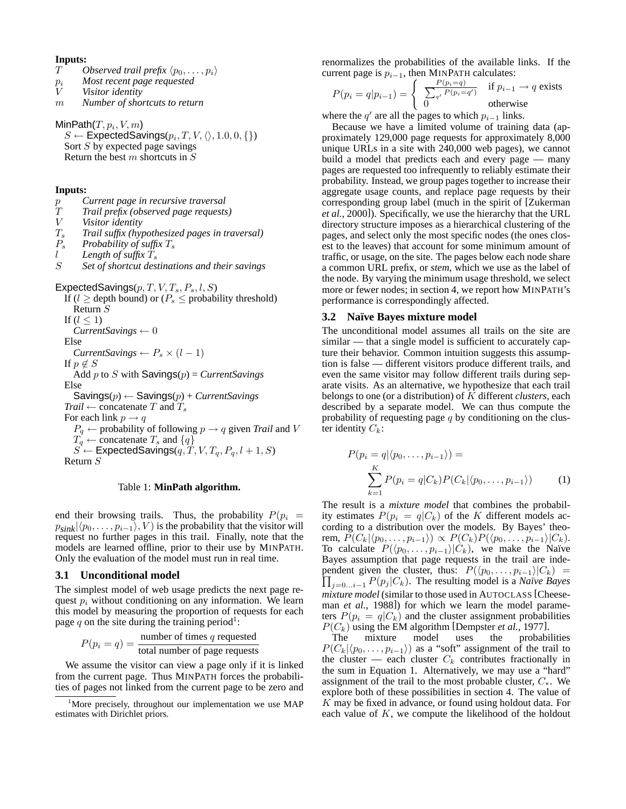#### **Inputs:**

- *T Observed trail prefix*  $\langle p_0, \ldots, p_i \rangle$ <br> *p<sub>i</sub> Most recent page requested*<br> *V Visitor identity*
- *Most recent page requested*
- *Visitor identity*
- m *Number of shortcuts to return*

 $\mathsf{MinPath}(T, p_i, V, m)$ 

 $S \leftarrow \mathsf{ExpectedSavings}(p_i,T,V,\langle\rangle,1.0,0,\{\})$ Sort  $S$  by expected page savings Return the best  $m$  shortcuts in  $S$ 

### **Inputs:**

- p *Current page in recursive traversal*
- T *Trail prefix (observed page requests)*
- *Visitor identity*
- T<sup>s</sup> *Trail suffix (hypothesized pages in traversal)*
- $P_s$  *Probability of suffix*  $T_s$ <br>*l Length of suffix*  $T_s$
- l *Length of suffix* T<sup>s</sup>
- Set of shortcut destinations and their savings

ExpectedSavings $(p, T, V, T_s, P_s, l, S)$ 

If ( $l \ge$  depth bound) or ( $P_s \le$  probability threshold) Return S If  $(l \leq 1)$ *CurrentSavings* ← 0 Else *CurrentSavings*  $\leftarrow P_s \times (l-1)$ If  $p \notin S$ Add p to S with Savings(p) = *CurrentSavings* Else Savings(p) ← Savings(p) + *CurrentSavings*  $Trial \leftarrow$  concatenate T and  $T_s$ For each link  $p \rightarrow q$  $P_q \leftarrow$  probability of following  $p \rightarrow q$  given *Trail* and *V*  $T_q^4 \leftarrow$  concatenate  $T_s$  and  $\{q\}$  $S^{3}$   $\leftarrow$  ExpectedSavings $(q, T, V, T_q, P_q, l+1, S)$ Return S

#### Table 1: **MinPath algorithm.**

end their browsing trails. Thus, the probability  $P(p_i)$  $p_{sink}|\langle p_0, \ldots, p_{i-1}\rangle, V$  is the probability that the visitor will request no further pages in this trail. Finally, note that the models are learned offline, prior to their use by MINPATH. Only the evaluation of the model must run in real time.

#### **3.1 Unconditional model**

The simplest model of web usage predicts the next page request  $p_i$  without conditioning on any information. We learn this model by measuring the proportion of requests for each page q on the site during the training period<sup>1</sup>:

$$
P(p_i = q) = \frac{\text{number of times } q \text{ requested}}{\text{total number of page requests}}
$$

We assume the visitor can view a page only if it is linked from the current page. Thus MINPATH forces the probabilities of pages not linked from the current page to be zero and renormalizes the probabilities of the available links. If the current page is  $p_{i-1}$ , then MINPATH calculates:

$$
P(p_i = q | p_{i-1}) = \begin{cases} \frac{P(p_i = q)}{\sum_{q'} P(p_i = q')} & \text{if } p_{i-1} \to q \text{ exists} \\ 0 & \text{otherwise} \end{cases}
$$

where the  $q'$  are all the pages to which  $p_{i-1}$  links.

Because we have a limited volume of training data (approximately 129,000 page requests for approximately 8,000 unique URLs in a site with 240,000 web pages), we cannot build a model that predicts each and every page — many pages are requested too infrequently to reliably estimate their probability. Instead, we group pages together to increase their aggregate usage counts, and replace page requests by their corresponding group label (much in the spirit of [Zukerman *et al.*, 2000]). Specifically, we use the hierarchy that the URL directory structure imposes as a hierarchical clustering of the pages, and select only the most specific nodes (the ones closest to the leaves) that account for some minimum amount of traffic, or usage, on the site. The pages below each node share a common URL prefix, or *stem*, which we use as the label of the node. By varying the minimum usage threshold, we select more or fewer nodes; in section 4, we report how MINPATH's performance is correspondingly affected.

#### **3.2 Na¨ıve Bayes mixture model**

The unconditional model assumes all trails on the site are similar — that a single model is sufficient to accurately capture their behavior. Common intuition suggests this assumption is false — different visitors produce different trails, and even the same visitor may follow different trails during separate visits. As an alternative, we hypothesize that each trail belongs to one (or a distribution) of K different *clusters*, each described by a separate model. We can thus compute the probability of requesting page  $q$  by conditioning on the cluster identity  $C_k$ :

$$
P(p_i = q | \langle p_0, \dots, p_{i-1} \rangle) =
$$
  

$$
\sum_{k=1}^{K} P(p_i = q | C_k) P(C_k | \langle p_0, \dots, p_{i-1} \rangle)
$$
 (1)

The result is a *mixture model* that combines the probability estimates  $P(p_i = q|C_k)$  of the K different models according to a distribution over the models. By Bayes' theorem,  $\widetilde{P}(C_k|\langle p_0, \ldots, p_{i-1}\rangle) \propto P(C_k)P(\langle p_0, \ldots, p_{i-1}\rangle|C_k).$ To calculate  $P(\langle p_0, \ldots, p_{i-1} \rangle | \hat{C}_k)$ , we make the Naïve Bayes assumption that page requests in the trail are independent given the cluster, thus:  $P(\langle p_0, \ldots, p_{i-1} \rangle | C_k)$  =  $\prod_{j=0...i-1} P(p_j | C_k)$ . The resulting model is a *Naïve Bayes mixture model* (similar to those used in AUTOCLASS [Cheeseman *et al.*, 1988]) for which we learn the model parameters  $P(p_i = q|C_k)$  and the cluster assignment probabilities

 $P(C_k)$  using the EM algorithm [Dempster *et al.*, 1977].<br>The mixture model uses the probabilities The mixture model uses  $P(C_k|\langle p_0, \ldots, p_{i-1}\rangle)$  as a "soft" assignment of the trail to the cluster — each cluster  $C_k$  contributes fractionally in the sum in Equation 1. Alternatively, we may use a "hard" assignment of the trail to the most probable cluster,  $C_*$ . We explore both of these possibilities in section 4. The value of K may be fixed in advance, or found using holdout data. For each value of  $K$ , we compute the likelihood of the holdout

<sup>&</sup>lt;sup>1</sup>More precisely, throughout our implementation we use MAP estimates with Dirichlet priors.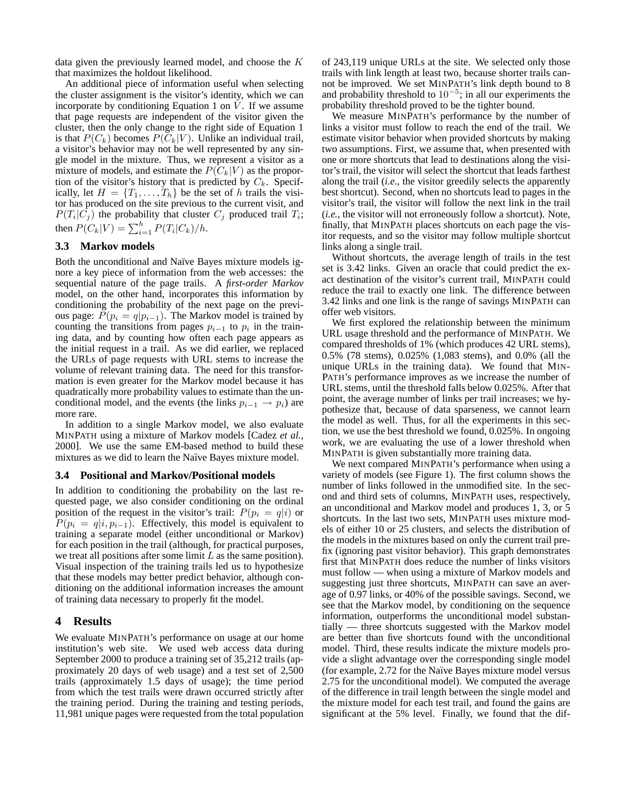data given the previously learned model, and choose the K that maximizes the holdout likelihood.

An additional piece of information useful when selecting the cluster assignment is the visitor's identity, which we can incorporate by conditioning Equation 1 on  $V$ . If we assume that page requests are independent of the visitor given the cluster, then the only change to the right side of Equation 1 is that  $P(C_k)$  becomes  $P(C_k|V)$ . Unlike an individual trail, a visitor's behavior may not be well represented by any single model in the mixture. Thus, we represent a visitor as a mixture of models, and estimate the  $P(C_k|V)$  as the proportion of the visitor's history that is predicted by  $C_k$ . Specifically, let  $H = \{T_1, \ldots, T_h\}$  be the set of h trails the visitor has produced on the site previous to the current visit, and  $P(T_i | C_j)$  the probability that cluster  $C_j$  produced trail  $T_i$ ; then  $P(C_k|V) = \sum_{i=1}^{h} P(T_i|C_k)/h$ .

# **3.3 Markov models**

Both the unconditional and Naïve Bayes mixture models ignore a key piece of information from the web accesses: the sequential nature of the page trails. A *first-order Markov* model, on the other hand, incorporates this information by conditioning the probability of the next page on the previous page:  $P(p_i = q | p_{i-1})$ . The Markov model is trained by counting the transitions from pages  $p_{i-1}$  to  $p_i$  in the training data, and by counting how often each page appears as the initial request in a trail. As we did earlier, we replaced the URLs of page requests with URL stems to increase the volume of relevant training data. The need for this transformation is even greater for the Markov model because it has quadratically more probability values to estimate than the unconditional model, and the events (the links  $p_{i-1} \rightarrow p_i$ ) are more rare.

In addition to a single Markov model, we also evaluate MINPATH using a mixture of Markov models [Cadez *et al.*, 2000]. We use the same EM-based method to build these mixtures as we did to learn the Naïve Bayes mixture model.

#### **3.4 Positional and Markov/Positional models**

In addition to conditioning the probability on the last requested page, we also consider conditioning on the ordinal position of the request in the visitor's trail:  $P(p_i = q|i)$  or  $P(p_i = q | i, p_{i-1})$ . Effectively, this model is equivalent to training a separate model (either unconditional or Markov) for each position in the trail (although, for practical purposes, we treat all positions after some limit  $L$  as the same position). Visual inspection of the training trails led us to hypothesize that these models may better predict behavior, although conditioning on the additional information increases the amount of training data necessary to properly fit the model.

# **4 Results**

We evaluate MINPATH's performance on usage at our home institution's web site. We used web access data during September 2000 to produce a training set of 35,212 trails (approximately 20 days of web usage) and a test set of 2,500 trails (approximately 1.5 days of usage); the time period from which the test trails were drawn occurred strictly after the training period. During the training and testing periods, 11,981 unique pages were requested from the total population of 243,119 unique URLs at the site. We selected only those trails with link length at least two, because shorter trails cannot be improved. We set MINPATH's link depth bound to 8 and probability threshold to  $10^{-5}$ ; in all our experiments the probability threshold proved to be the tighter bound.

We measure MINPATH's performance by the number of links a visitor must follow to reach the end of the trail. We estimate visitor behavior when provided shortcuts by making two assumptions. First, we assume that, when presented with one or more shortcuts that lead to destinations along the visitor's trail, the visitor will select the shortcut that leads farthest along the trail (*i.e.*, the visitor greedily selects the apparently best shortcut). Second, when no shortcuts lead to pages in the visitor's trail, the visitor will follow the next link in the trail (*i.e.*, the visitor will not erroneously follow a shortcut). Note, finally, that MINPATH places shortcuts on each page the visitor requests, and so the visitor may follow multiple shortcut links along a single trail.

Without shortcuts, the average length of trails in the test set is 3.42 links. Given an oracle that could predict the exact destination of the visitor's current trail, MINPATH could reduce the trail to exactly one link. The difference between 3.42 links and one link is the range of savings MINPATH can offer web visitors.

We first explored the relationship between the minimum URL usage threshold and the performance of MINPATH. We compared thresholds of 1% (which produces 42 URL stems), 0.5% (78 stems), 0.025% (1,083 stems), and 0.0% (all the unique URLs in the training data). We found that MIN-PATH's performance improves as we increase the number of URL stems, until the threshold falls below 0.025%. After that point, the average number of links per trail increases; we hypothesize that, because of data sparseness, we cannot learn the model as well. Thus, for all the experiments in this section, we use the best threshold we found, 0.025%. In ongoing work, we are evaluating the use of a lower threshold when MINPATH is given substantially more training data.

We next compared MINPATH's performance when using a variety of models (see Figure 1). The first column shows the number of links followed in the unmodified site. In the second and third sets of columns, MINPATH uses, respectively, an unconditional and Markov model and produces 1, 3, or 5 shortcuts. In the last two sets, MINPATH uses mixture models of either 10 or 25 clusters, and selects the distribution of the models in the mixtures based on only the current trail prefix (ignoring past visitor behavior). This graph demonstrates first that MINPATH does reduce the number of links visitors must follow — when using a mixture of Markov models and suggesting just three shortcuts, MINPATH can save an average of 0.97 links, or 40% of the possible savings. Second, we see that the Markov model, by conditioning on the sequence information, outperforms the unconditional model substantially — three shortcuts suggested with the Markov model are better than five shortcuts found with the unconditional model. Third, these results indicate the mixture models provide a slight advantage over the corresponding single model (for example, 2.72 for the Na¨ıve Bayes mixture model versus 2.75 for the unconditional model). We computed the average of the difference in trail length between the single model and the mixture model for each test trail, and found the gains are significant at the 5% level. Finally, we found that the dif-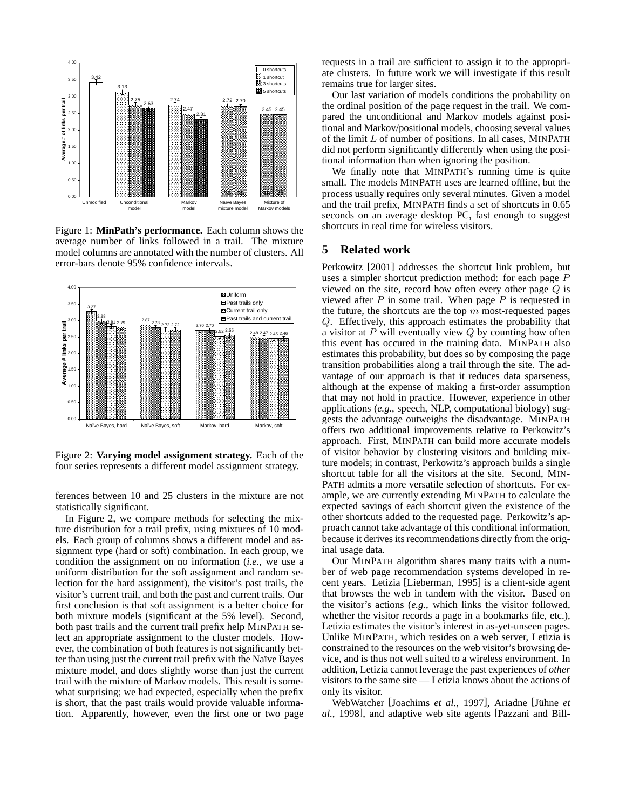

Figure 1: **MinPath's performance.** Each column shows the average number of links followed in a trail. The mixture model columns are annotated with the number of clusters. All error-bars denote 95% confidence intervals.



Figure 2: **Varying model assignment strategy.** Each of the four series represents a different model assignment strategy.

ferences between 10 and 25 clusters in the mixture are not statistically significant.

In Figure 2, we compare methods for selecting the mixture distribution for a trail prefix, using mixtures of 10 models. Each group of columns shows a different model and assignment type (hard or soft) combination. In each group, we condition the assignment on no information (*i.e.*, we use a uniform distribution for the soft assignment and random selection for the hard assignment), the visitor's past trails, the visitor's current trail, and both the past and current trails. Our first conclusion is that soft assignment is a better choice for both mixture models (significant at the 5% level). Second, both past trails and the current trail prefix help MINPATH select an appropriate assignment to the cluster models. However, the combination of both features is not significantly better than using just the current trail prefix with the Naïve Bayes mixture model, and does slightly worse than just the current trail with the mixture of Markov models. This result is somewhat surprising; we had expected, especially when the prefix is short, that the past trails would provide valuable information. Apparently, however, even the first one or two page

requests in a trail are sufficient to assign it to the appropriate clusters. In future work we will investigate if this result remains true for larger sites.

Our last variation of models conditions the probability on the ordinal position of the page request in the trail. We compared the unconditional and Markov models against positional and Markov/positional models, choosing several values of the limit  $L$  of number of positions. In all cases, MINPATH did not perform significantly differently when using the positional information than when ignoring the position.

We finally note that MINPATH's running time is quite small. The models MINPATH uses are learned offline, but the process usually requires only several minutes. Given a model and the trail prefix, MINPATH finds a set of shortcuts in 0.65 seconds on an average desktop PC, fast enough to suggest shortcuts in real time for wireless visitors.

# **5 Related work**

Perkowitz [2001] addresses the shortcut link problem, but uses a simpler shortcut prediction method: for each page P viewed on the site, record how often every other page  $Q$  is viewed after  $P$  in some trail. When page  $P$  is requested in the future, the shortcuts are the top  $m$  most-requested pages Q. Effectively, this approach estimates the probability that a visitor at  $P$  will eventually view  $Q$  by counting how often this event has occured in the training data. MINPATH also estimates this probability, but does so by composing the page transition probabilities along a trail through the site. The advantage of our approach is that it reduces data sparseness, although at the expense of making a first-order assumption that may not hold in practice. However, experience in other applications (*e.g.*, speech, NLP, computational biology) suggests the advantage outweighs the disadvantage. MINPATH offers two additional improvements relative to Perkowitz's approach. First, MINPATH can build more accurate models of visitor behavior by clustering visitors and building mixture models; in contrast, Perkowitz's approach builds a single shortcut table for all the visitors at the site. Second, MIN-PATH admits a more versatile selection of shortcuts. For example, we are currently extending MINPATH to calculate the expected savings of each shortcut given the existence of the other shortcuts added to the requested page. Perkowitz's approach cannot take advantage of this conditional information, because it derives its recommendations directly from the original usage data.

Our MINPATH algorithm shares many traits with a number of web page recommendation systems developed in recent years. Letizia [Lieberman, 1995] is a client-side agent that browses the web in tandem with the visitor. Based on the visitor's actions (*e.g.*, which links the visitor followed, whether the visitor records a page in a bookmarks file, etc.), Letizia estimates the visitor's interest in as-yet-unseen pages. Unlike MINPATH, which resides on a web server, Letizia is constrained to the resources on the web visitor's browsing device, and is thus not well suited to a wireless environment. In addition, Letizia cannot leverage the past experiences of *other* visitors to the same site — Letizia knows about the actions of only its visitor.

WebWatcher [Joachims *et al.*, 1997], Ariadne [Jühne *et al.*, 1998], and adaptive web site agents [Pazzani and Bill